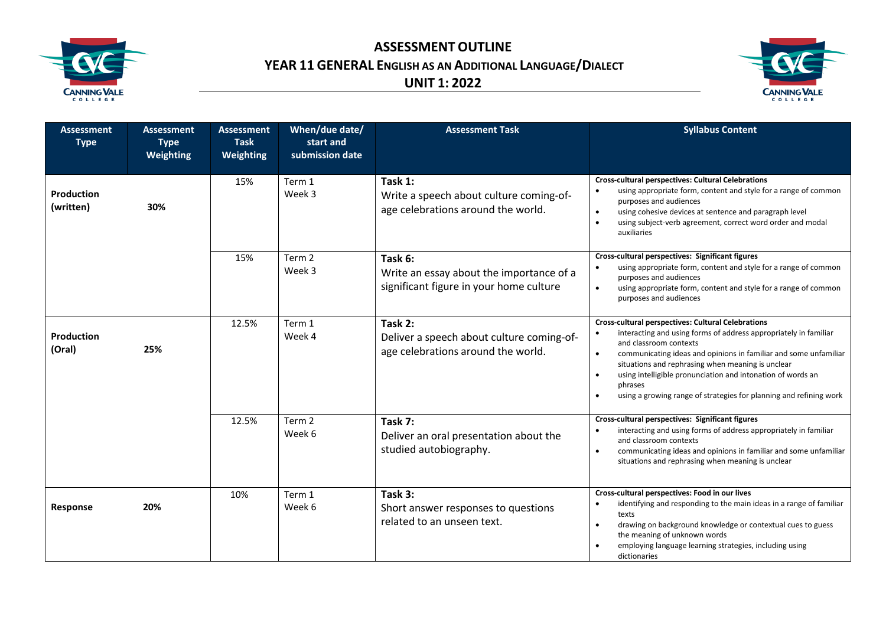

**ASSESSMENT OUTLINE YEAR 11 GENERAL ENGLISH AS AN ADDITIONAL LANGUAGE/DIALECT UNIT 1: 2022**



| <b>Assessment</b><br><b>Type</b> | <b>Assessment</b><br><b>Type</b><br>Weighting | <b>Assessment</b><br><b>Task</b><br>Weighting | When/due date/<br>start and<br>submission date | <b>Assessment Task</b>                                                                         | <b>Syllabus Content</b>                                                                                                                                                                                                                                                                                                                                                                                                                                    |
|----------------------------------|-----------------------------------------------|-----------------------------------------------|------------------------------------------------|------------------------------------------------------------------------------------------------|------------------------------------------------------------------------------------------------------------------------------------------------------------------------------------------------------------------------------------------------------------------------------------------------------------------------------------------------------------------------------------------------------------------------------------------------------------|
| Production<br>(written)          | 30%                                           | 15%                                           | Term 1<br>Week 3                               | Task 1:<br>Write a speech about culture coming-of-<br>age celebrations around the world.       | <b>Cross-cultural perspectives: Cultural Celebrations</b><br>using appropriate form, content and style for a range of common<br>purposes and audiences<br>using cohesive devices at sentence and paragraph level<br>$\bullet$<br>using subject-verb agreement, correct word order and modal<br>$\bullet$<br>auxiliaries                                                                                                                                    |
|                                  |                                               | 15%                                           | Term 2<br>Week 3                               | Task 6:<br>Write an essay about the importance of a<br>significant figure in your home culture | Cross-cultural perspectives: Significant figures<br>using appropriate form, content and style for a range of common<br>purposes and audiences<br>using appropriate form, content and style for a range of common<br>$\bullet$<br>purposes and audiences                                                                                                                                                                                                    |
| Production<br>(Oral)             | 25%                                           | 12.5%                                         | Term 1<br>Week 4                               | Task 2:<br>Deliver a speech about culture coming-of-<br>age celebrations around the world.     | <b>Cross-cultural perspectives: Cultural Celebrations</b><br>interacting and using forms of address appropriately in familiar<br>and classroom contexts<br>communicating ideas and opinions in familiar and some unfamiliar<br>$\bullet$<br>situations and rephrasing when meaning is unclear<br>using intelligible pronunciation and intonation of words an<br>$\bullet$<br>phrases<br>using a growing range of strategies for planning and refining work |
|                                  |                                               | 12.5%                                         | Term 2<br>Week 6                               | Task 7:<br>Deliver an oral presentation about the<br>studied autobiography.                    | Cross-cultural perspectives: Significant figures<br>interacting and using forms of address appropriately in familiar<br>and classroom contexts<br>communicating ideas and opinions in familiar and some unfamiliar<br>$\bullet$<br>situations and rephrasing when meaning is unclear                                                                                                                                                                       |
| Response                         | 20%                                           | 10%                                           | Term 1<br>Week 6                               | Task 3:<br>Short answer responses to questions<br>related to an unseen text.                   | Cross-cultural perspectives: Food in our lives<br>identifying and responding to the main ideas in a range of familiar<br>$\bullet$<br>texts<br>drawing on background knowledge or contextual cues to guess<br>the meaning of unknown words<br>employing language learning strategies, including using<br>dictionaries                                                                                                                                      |